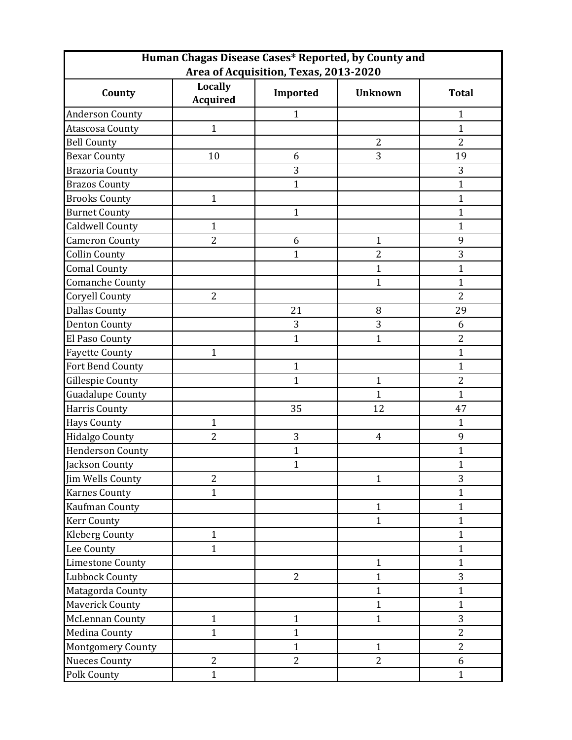| Human Chagas Disease Cases* Reported, by County and |                                   |                |                |                |  |  |
|-----------------------------------------------------|-----------------------------------|----------------|----------------|----------------|--|--|
| Area of Acquisition, Texas, 2013-2020               |                                   |                |                |                |  |  |
| County                                              | <b>Locally</b><br><b>Acquired</b> | Imported       | <b>Unknown</b> | <b>Total</b>   |  |  |
| <b>Anderson County</b>                              |                                   | $\mathbf{1}$   |                | $\mathbf{1}$   |  |  |
| Atascosa County                                     | $\mathbf{1}$                      |                |                | $\mathbf{1}$   |  |  |
| <b>Bell County</b>                                  |                                   |                | $\overline{2}$ | $\overline{2}$ |  |  |
| <b>Bexar County</b>                                 | 10                                | 6              | 3              | 19             |  |  |
| <b>Brazoria County</b>                              |                                   | 3              |                | 3              |  |  |
| <b>Brazos County</b>                                |                                   | $\mathbf{1}$   |                | $\mathbf{1}$   |  |  |
| <b>Brooks County</b>                                | $\mathbf{1}$                      |                |                | $\mathbf{1}$   |  |  |
| <b>Burnet County</b>                                |                                   | $\mathbf{1}$   |                | $\mathbf{1}$   |  |  |
| <b>Caldwell County</b>                              | $\mathbf{1}$                      |                |                | $\mathbf{1}$   |  |  |
| <b>Cameron County</b>                               | $\overline{2}$                    | 6              | $\mathbf{1}$   | 9              |  |  |
| <b>Collin County</b>                                |                                   | $\mathbf{1}$   | $\overline{2}$ | 3              |  |  |
| <b>Comal County</b>                                 |                                   |                | $\mathbf{1}$   | $\mathbf{1}$   |  |  |
| <b>Comanche County</b>                              |                                   |                | $\mathbf{1}$   | $\mathbf{1}$   |  |  |
| Coryell County                                      | 2                                 |                |                | $\overline{2}$ |  |  |
| <b>Dallas County</b>                                |                                   | 21             | 8              | 29             |  |  |
| <b>Denton County</b>                                |                                   | 3              | 3              | 6              |  |  |
| El Paso County                                      |                                   | $\mathbf{1}$   | $\mathbf{1}$   | $\overline{2}$ |  |  |
| <b>Fayette County</b>                               | $\mathbf{1}$                      |                |                | $\mathbf{1}$   |  |  |
| Fort Bend County                                    |                                   | $\mathbf{1}$   |                | $\mathbf{1}$   |  |  |
| Gillespie County                                    |                                   | $\mathbf{1}$   | $\mathbf{1}$   | 2              |  |  |
| <b>Guadalupe County</b>                             |                                   |                | $\mathbf{1}$   | $\mathbf{1}$   |  |  |
| <b>Harris County</b>                                |                                   | 35             | 12             | 47             |  |  |
| <b>Hays County</b>                                  | $\mathbf{1}$                      |                |                | $\mathbf{1}$   |  |  |
| <b>Hidalgo County</b>                               | $\overline{2}$                    | 3              | $\overline{4}$ | 9              |  |  |
| <b>Henderson County</b>                             |                                   | $\mathbf{1}$   |                | $\mathbf{1}$   |  |  |
| Jackson County                                      |                                   | $\overline{1}$ |                | 1              |  |  |
| Jim Wells County                                    | $\overline{2}$                    |                | $\mathbf{1}$   | 3              |  |  |
| <b>Karnes County</b>                                | $\mathbf{1}$                      |                |                | $\mathbf{1}$   |  |  |
| Kaufman County                                      |                                   |                | $\mathbf{1}$   | $\mathbf{1}$   |  |  |
| <b>Kerr County</b>                                  |                                   |                | $\mathbf{1}$   | $\mathbf{1}$   |  |  |
| <b>Kleberg County</b>                               | $\mathbf{1}$                      |                |                | $\mathbf{1}$   |  |  |
| Lee County                                          | $\mathbf{1}$                      |                |                | $\mathbf{1}$   |  |  |
| <b>Limestone County</b>                             |                                   |                | $\mathbf{1}$   | $\mathbf{1}$   |  |  |
| <b>Lubbock County</b>                               |                                   | $\overline{2}$ | $\mathbf{1}$   | 3              |  |  |
| Matagorda County                                    |                                   |                | $\mathbf{1}$   | $\mathbf{1}$   |  |  |
| <b>Maverick County</b>                              |                                   |                | $\mathbf{1}$   | $\mathbf{1}$   |  |  |
| McLennan County                                     | $\mathbf{1}$                      | $\mathbf{1}$   | $\mathbf{1}$   | 3              |  |  |
| <b>Medina County</b>                                | $\mathbf{1}$                      | $\mathbf{1}$   |                | $\overline{2}$ |  |  |
| <b>Montgomery County</b>                            |                                   | $\mathbf{1}$   | $\mathbf{1}$   | $\overline{2}$ |  |  |
| <b>Nueces County</b>                                | $\overline{2}$                    | $\overline{2}$ | $\overline{2}$ | 6              |  |  |
| <b>Polk County</b>                                  | $\mathbf{1}$                      |                |                | $\mathbf{1}$   |  |  |